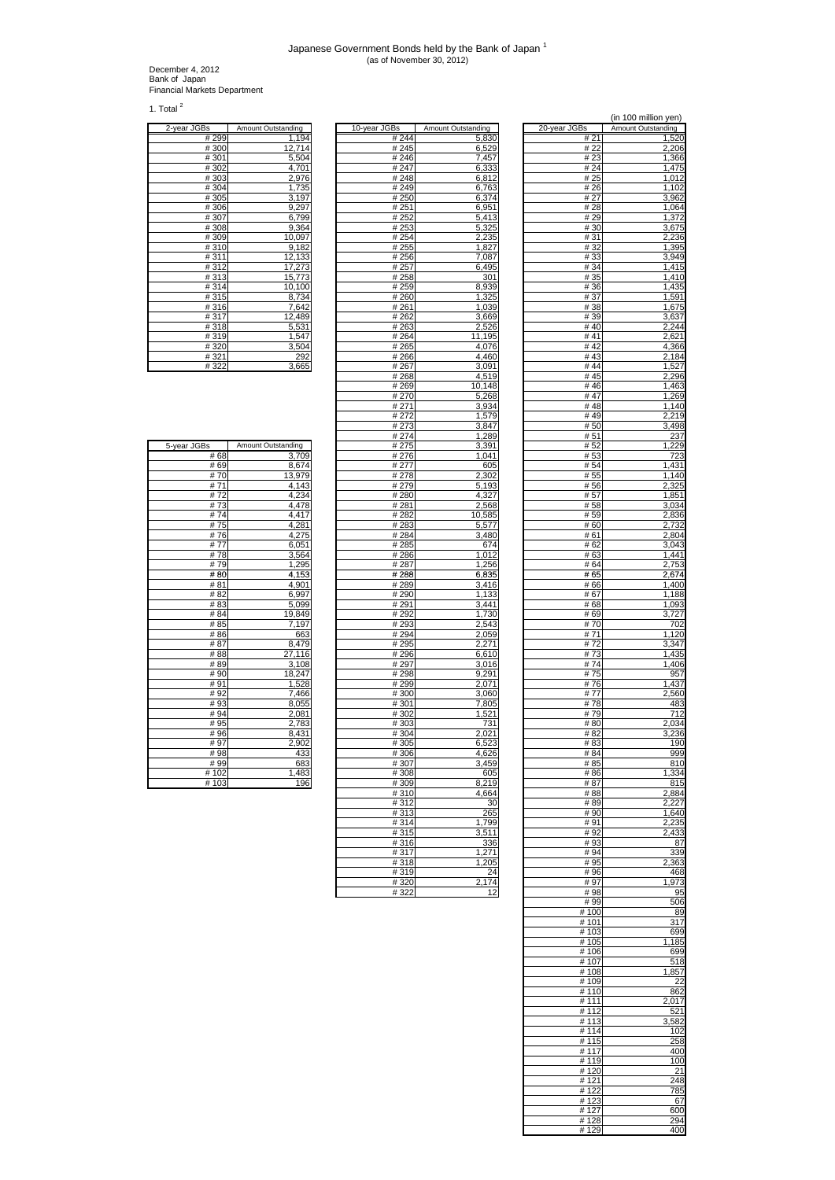## Japanese Government Bonds held by the Bank of Japan <sup>1</sup> (as of November 30, 2012)

December 4, 2012 Bank of Japan Financial Markets Department

1. Total  $2$ 

| 2-year JGBs | Amount Outstanding |
|-------------|--------------------|
| #299        | 1,194              |
| #300        | 12,714             |
| #301        | 5,504              |
| #302        | 4,701              |
| #303        | 2,976              |
| #304        | 1,735              |
| #305        | 3,197              |
| #306        | 9,297              |
| #307        | 6,799              |
| #308        | 9,364              |
| #309        | 10,097             |
| #310        | 9,182              |
| #311        | 12,133             |
| #312        | 17,273             |
| #313        | 15,773             |
| #314        | 10,100             |
| #315        | 8,734              |
| #316        | 7,642              |
| #317        | 12,489             |
| #318        | 5,531              |
| #319        | 1,547              |
| #320        | 3,504              |
| #321        | 292                |
| #322        | 3,665              |

| <u>2-year JGBs</u> | Amount Outstanding | 10-year JGBs      | <b>Amount Outstanding</b> | <u>20-year JGBs</u> | <b>Amount Outstanding</b> |
|--------------------|--------------------|-------------------|---------------------------|---------------------|---------------------------|
| #299               | 1,194              | # 244             | 5,830                     | # 21                | 1,520                     |
| #300               | 12.714             | #245              | 6,529                     | # 22                | 2,206                     |
| #301               | 5,504              | #246              | 7,457                     | #23                 | 1,366                     |
| #302               | 4,701              | #247              | 6,333                     | #24                 | 1,475                     |
| #303               | 2,976              | #248              | 6,812                     | # 25                | 1,012                     |
| #304               | 1,735              | #249              | 6,763                     | # 26                |                           |
|                    |                    |                   |                           |                     | 1,102                     |
| #305               | 3,197              | #250              | 6,374                     | # 27                | 3,962                     |
| #306               | 9,297              | #251              | 6,951                     | #28                 | 1,064                     |
| #307               | 6,799              | #252              | 5,413                     | #29                 | 1,372                     |
| #308               | 9,364              | #253              | 5,325                     | #30                 | 3,675                     |
| #309               | 10,097             | #254              | 2,235                     | #31                 | 2,236                     |
| #310               | 9,182              | $\frac{1}{4}$ 255 | 1,827                     | #32                 | 1,395                     |
| #311               | 12,133             | #256              | 7,087                     | #33                 | 3,949                     |
| #312               | 17,273             | #257              | 6,495                     | # 34                | 1,415                     |
| #313               | 15,773             | #258              | 301                       | # 35                | 1,410                     |
| #314               | 10,100             | #259              | 8,939                     | #36                 | 1,435                     |
| #315               | 8,734              | #260              | 1,325                     | #37                 | 1,591                     |
| #316               | 7,642              | #261              | 1,039                     | #38                 | 1,675                     |
| #317               | 12,489             | #262              | 3,669                     | #39                 | 3,637                     |
| #318               | 5,531              | $\frac{1}{4}$ 263 | 2,526                     | #40                 | 2,244                     |
| #319               | 1,547              | #264              | 11,195                    | #41                 | 2,621                     |
| #320               | 3,504              | #265              | 4,076                     | #42                 | 4,366                     |
| #321               | 292                | #266              | 4,460                     | # $43$              | 2,184                     |
|                    |                    |                   |                           | #44                 |                           |
| #322               | 3,665              | #267              | 3,091                     |                     | 1,527                     |
|                    |                    | #268              | 4,519                     | #45                 | 2,296                     |
|                    |                    | #269              | 10,148                    | #46                 | 1,463                     |
|                    |                    | #270              | 5,268                     | #47                 | 1,269                     |
|                    |                    | #271              | 3,934                     | #48                 | 1,140                     |
|                    |                    | # 272             | 1,579                     | #49                 | 2,219                     |
|                    |                    | #273              | 3,847                     | #50                 | 3,498                     |
|                    |                    | #274              | 1,289                     | #51                 | 237                       |
| 5-year JGBs        | Amount Outstanding | # 275             | 3,391                     | #52                 | 1,229                     |
| #68                | 3,709              | #276              | 1,041                     | #53                 | 723                       |
| # 69               | 8,674              | #277              | 605                       | #54                 | 1,431                     |
| #70                | 13,979             | #278              | 2,302                     | # 55                | 1,140                     |
| #71                | 4,143              | # 279             | 5,193                     | #56                 | 2,325                     |
| #72                | 4,234              | #280              | 4,327                     | # 57                | 1,851                     |
| #73                | 4,478              | #281              | 2,568                     | #58                 | 3,034                     |
| #74                | 4,417              | #282              | 10,585                    | # 59                | 2,836                     |
| #75                | 4,281              | #283              | 5,577                     | #60                 | 2,732                     |
| #76                | 4,275              | #284              | 3,480                     | #61                 | 2,804                     |
| #77                | 6,051              | #285              | 674                       | # 62                | 3,043                     |
| #78                |                    |                   |                           |                     |                           |
|                    | 3,564              | #286              | 1,012                     | #63                 | 1,441                     |
| #79                | 1,295              | #287              | 1,256                     | #64                 | 2,753                     |
| #80                | 4,153              | #288              | 6,835                     | #65                 | 2,674                     |
| #81                | 4,901              | #289              | 3,416                     | #66                 | 1,400                     |
| #82                | 6,997              | #290              | 1,133                     | #67                 | 1,188                     |
| #83                | 5,099              | #291              | 3,441                     | # 68                | 1,093                     |
| # 84               | 19,849             | # 292             | 1,730                     | #69                 | 3,727                     |
| #85                | 7,197              | #293              | 2,543                     | #70                 | 702                       |
| #86                | 663                | #294              | 2,059                     | #71                 | 1,120                     |
| #87                | 8,479              | #295              | 2,271                     | #72                 | 3,347                     |
| #88                | 27,116             | #296              | 6,610                     | #73                 | 1,435                     |
| #89                | 3,108              | #297              | 3,016                     | #74                 | 1,406                     |
| #90                | 18,247             | #298              | 9,291                     | #75                 | 957                       |
| #91                | 1,528              | #299              | 2,071                     | #76                 | 1,437                     |
| #92                | 7,466              | #300              | 3,060                     | #77                 | 2,560                     |
| #93                | 8,055              | #301              | 7,805                     | #78                 | 483                       |
| #94                | 2,081              | #302              | 1,521                     | #79                 | 712                       |
| #95                | 2,783              | #303              | 731                       | #80                 | 2,034                     |
| #96                | 8,431              | #304              | 2,021                     | #82                 | 3,236                     |
| #97                | 2,902              | #305              | 6,523                     | #83                 | 190                       |
| #98                | 433                | #306              | 4,626                     | # 84                | 999                       |
| #99                | 683                | #307              | 3,459                     | # 85                | 810                       |
| #102               | ,483               | #308              | 605                       | #86                 | 1,334                     |
|                    | 1                  |                   |                           |                     |                           |
| #103               | 196                | #309              | 8,219                     | #87                 | 815                       |
|                    |                    | #310              | 4,664                     | #88                 | 2,884                     |
|                    |                    | #312              | 30                        | #89                 | 2,227                     |
|                    |                    | #313              | 265                       | #90                 | 1,640                     |
|                    |                    | #314              | 1,799                     | # 91                | 2,235                     |
|                    |                    | #315              | 3,511                     | #92                 | 2,433                     |
|                    |                    | #316              | 336                       | #93                 | 87                        |
|                    |                    | #317              | 1,271                     | #94                 | 339                       |
|                    |                    | #318              | 1,205                     | #95                 | 2,363                     |
|                    |                    | #319              | 24                        | #96                 | 468                       |
|                    |                    | #320              | 2,174                     | #97                 | 1,973                     |
|                    |                    | #322              | 12                        | #98                 | 95                        |
|                    |                    |                   |                           | #00                 | EOC                       |

|                          |                                    |                     | (in 100 million yen)               |
|--------------------------|------------------------------------|---------------------|------------------------------------|
| Зs<br># 244              | <b>Amount Outstanding</b><br>5,830 | 20-year JGBs<br>#21 | <b>Amount Outstanding</b><br>1,520 |
| #245                     | 6,529                              | #22                 | 2,206                              |
| # 246<br># 247           | 7,457<br>6,333                     | # 23<br>#24         | 1,366<br>1,475                     |
| #248                     | 6,812                              | # 25                | 1,012                              |
| #249<br># 250            | 6,763<br>6,374                     | #26<br># 27         | 1,102<br>3,962                     |
| # 251                    | 6,951                              | #28                 | 1,064                              |
| # 252                    | 5,413                              | #29                 | 1,372                              |
| #253<br>#254             | 5,325<br>2,235                     | #30<br>#31          | 3,675<br>2,236                     |
| #255                     | 1,827                              | #32                 | 1,395                              |
| #256<br># 257            | 7,087<br>6,495                     | #33<br># 34         | 3,949<br>1,415                     |
| # 258                    | 301                                | # 35                | 1,410                              |
| # 259<br>#260            | 8,939                              | # 36                | 1,435<br>1,591                     |
| # 261                    | 1,325<br>1,039                     | #37<br>#38          | 1,675                              |
| # 262                    | 3,669                              | # 39                | 3,637                              |
| #263<br>#264             | 2,526<br>11,195                    | #40<br>#41          | 2,244<br>2,621                     |
| # 265                    | 4,076                              | #42                 | 4,366                              |
| # 266<br>#267            | 4,460<br>3,091                     | #43<br>#44          | 2,184<br>1,527                     |
| #268                     | 4,519                              | #45                 | 2,296                              |
| #269                     | 10,148<br>5,268                    | #46<br>#47          | 1,463<br>1,269                     |
| # 270<br># 271           | 3,934                              | #48                 | 1,140                              |
| # 272                    | 1,579                              | #49                 | 2,219                              |
| # 273<br># 274           | 3,847<br>1,289                     | #50<br># 51         | 3,498<br>237                       |
| # 275                    | 3,391                              | #52                 | 1,229                              |
| #276<br># 277            | 1,041<br>605                       | #53<br>#54          | 723<br>1,431                       |
| #278                     | 2,302                              | # 55                | 1,140                              |
| # 279                    | 5,193                              | #56                 | 2,325                              |
| # 280<br>#281            | 4,327<br>2,568                     | # 57<br>#58         | 1,851<br>3,034                     |
| #282                     | 10,585                             | #59                 | 2,836                              |
| #283<br>#284             | 5,577<br>3,480                     | # 60<br># 61        | 2,732<br>2,804                     |
| #285                     | 674                                | # 62                | 3,043                              |
| #286<br># 287            | 1,012                              | #63<br>#64          | 1,441<br>2,753                     |
| #288                     | 1,256<br>6,835                     | #65                 | 2,674                              |
| # 289                    | 3,416                              | #66                 | 1,400                              |
| # 290<br># 291           | 1,133<br>3,441                     | # 67<br># 68        | 1,188<br>1,093                     |
| # 292                    | 1,730                              | # 69                | 3,727                              |
| # 293<br>#294            | 2,543<br>2,059                     | #70<br>#71          | 702<br>1,120                       |
| # 295                    | 2,271                              | #72                 | 3,347                              |
| #296<br># 297            | 6,610                              | #73<br>#74          | 1,435                              |
| #298                     | 3,016<br>9,291                     | #75                 | 1,406<br>957                       |
| # 299                    | 2,071                              | #76                 | 1,437                              |
| #300<br>#301             | 3,060<br>7,805                     | # 77<br>#78         | 2,560<br>483                       |
| #302                     | 1,521                              | # 79                | 712                                |
| #303<br>#304             | 731<br>2,021                       | #80<br># 82         | 2.034<br>3,236                     |
| #305                     | 6,523                              | # 83                | 190                                |
| #306                     | 4,626                              | # 84                | 999                                |
| #307<br>#308             | 3,459<br>605                       | # 85<br>#86         | 810<br>1,334                       |
| #309                     | 8,219                              | #87                 | 815                                |
| $\frac{1}{4}310$<br>#312 | 4,664<br>30                        | #88<br>#89          | 2,884<br>2,227                     |
| #313                     | 265                                | #90                 | 1,640                              |
| #314<br>#315             | 1,799<br>3,51                      | #91<br>#92          | 2,235<br>2,433                     |
| #316                     | 336                                | #93                 | 87                                 |
| #317<br>#318             | 1,271                              | #94                 | 339                                |
| #319                     | ,205<br>24                         | #95<br>#96          | 2,363<br>468                       |
| #320                     | 2,174                              | #97                 | 1,973                              |
| #322                     | 12                                 | #98<br>#99          | 95<br>506                          |
|                          |                                    | #100                | 89                                 |
|                          |                                    | # 101               | 317                                |
|                          |                                    | #103<br>#105        | 699<br>1,185                       |
|                          |                                    | #106                | 699                                |
|                          |                                    | #107<br>#108        | 518<br>1,857                       |
|                          |                                    | #109                | 22                                 |
|                          |                                    | #110<br># 111       | 862<br>2,017                       |
|                          |                                    | #112                | 521                                |
|                          |                                    | #113                | 3,582                              |
|                          |                                    | #114<br>#115        | 102<br>258                         |
|                          |                                    | $\frac{1}{4}$ 117   | 400                                |
|                          |                                    | #119<br>#120        | 100<br>21                          |
|                          |                                    | #121                | 248                                |
|                          |                                    | #122                | 785                                |
|                          |                                    | #123<br>#127        | 67<br>600                          |
|                          |                                    | #128                | 294                                |
|                          |                                    | #129                | 400                                |

| 5-year JGBs | Amount Outstanding |
|-------------|--------------------|
| # 68        | 3,709              |
| # 69        | 8,674              |
| #70         | 13,979             |
| #71         | 4,143              |
| #72         | 4,234              |
| #73         | 4,478              |
| #74         | 4.417              |
| #75         | 4,281              |
| #76         | 4,275              |
| #77         | 6,051              |
| #78         | 3,564              |
| #79         | 1,295              |
| #80         | 4,153              |
| # 81        | 4,901              |
| #82         | 6,997              |
| #83         | 5,099              |
| # 84        | 19,849             |
| # 85        | 7,197              |
| # 86        | 663                |
| # 87        | 8,479              |
| #88         | 27,116             |
| #89         | 3,108              |
| #90         | 18,247             |
| #91         | 1,528              |
| #92         | 7,466              |
| #93         | 8,055              |
| #94         | 2,081              |
| # 95        | 2,783              |
| #96         | 8,431              |
| #97         | 2,902              |
| #98         | 433                |
| #99         | 683                |
| #102        | 1,483              |
| #103        | 196                |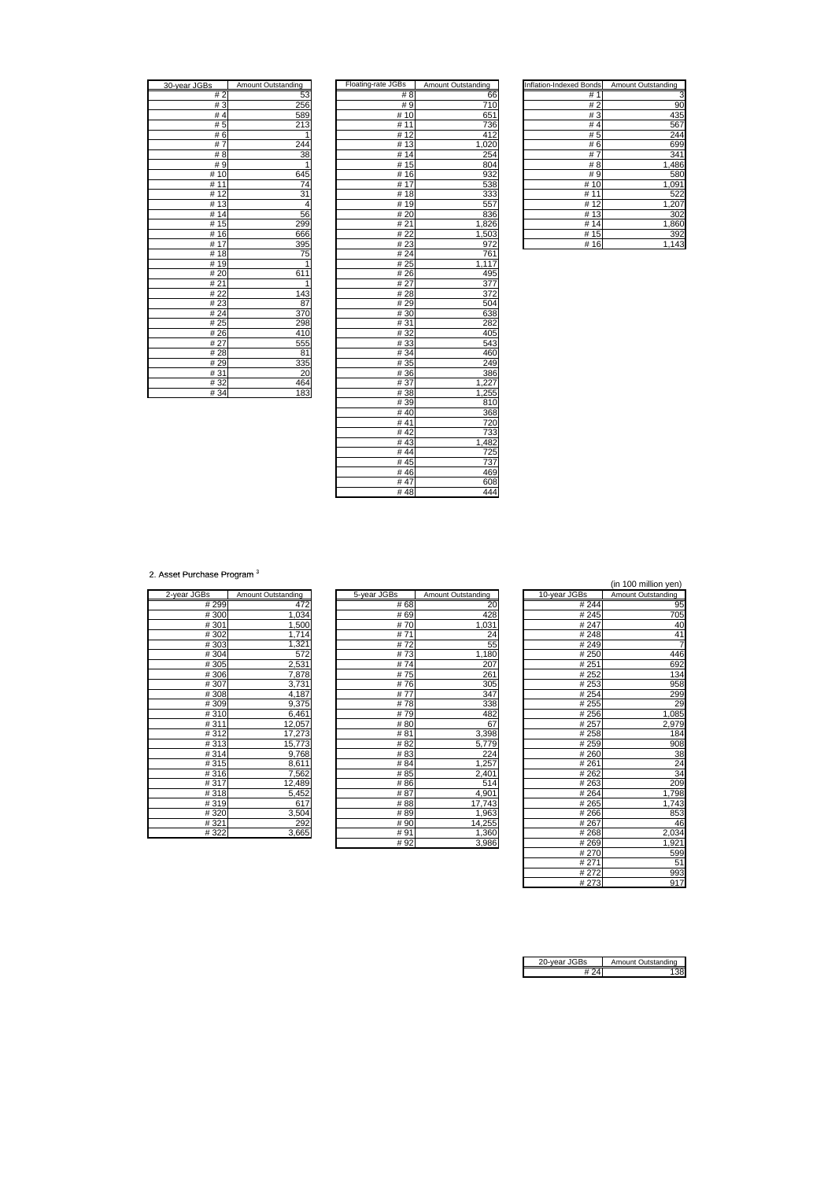| 30-year JGBs         | <b>Amount Outstanding</b> |
|----------------------|---------------------------|
| #2                   | 53                        |
| #3                   | 256                       |
| #4                   | 589                       |
| # 5                  | 213                       |
| #6                   |                           |
| 7<br>#               | 244                       |
| #<br>8               | $\overline{3}8$           |
| #9                   |                           |
| # 10                 | 645                       |
| 11<br>#              | $\overline{7}$ 4          |
| 12<br>#              | $\overline{31}$           |
| $\overline{13}$<br># | 4                         |
| $\overline{14}$<br># | 56                        |
| 15<br>#              | 299                       |
| 16<br>#              | 666                       |
| $\overline{17}$<br># | 395                       |
| #18                  | 75                        |
| #19                  |                           |
| 20<br>#              | 611                       |
| #21                  | 1                         |
| # 22                 | 143                       |
| #23                  | 87                        |
| #24                  | 370                       |
| # 25                 | 298                       |
| #26                  | 410                       |
| # 27                 | 555                       |
| # 28                 | 81                        |
| # 29                 | 335                       |
| # 31                 | 20                        |
| #32                  | 464                       |
| #34                  | 183                       |

| 30-year JGBs | Amount Outstanding | Floating-rate JGBs | Amount Outstanding | Inflation-Indexed Bonds | Amount Outstanding |
|--------------|--------------------|--------------------|--------------------|-------------------------|--------------------|
| #2           | 53                 | #8                 | 66                 | #1                      | 3                  |
| # $3$        | 256                | #9                 | 710                | #2                      | 90                 |
| #4           | 589                | #10                | 651                | #3                      | 435                |
| # 5          | 213                | # 11               | 736                | #4                      | 567                |
| #6           | 1                  | #12                | 412                | #5                      | 244                |
| #7           | 244                | #13                | 1,020              | #6                      | 699                |
| #8           | 38                 | #14                | 254                | #7                      | 341                |
| #9           | 1                  | #15                | 804                | #8                      | 1,486              |
| #10          | 645                | #16                | 932                | #9                      | 580                |
| #11          | 74                 | #17                | 538                | #10                     | 1,091              |
| #12          | 31                 | #18                | 333                | # 11                    | 522                |
| #13          | 4                  | #19                | 557                | #12                     | 1,207              |
| #14          | 56                 | #20                | 836                | #13                     | 302                |
| #15          | 299                | #21                | 1,826              | #14                     | 1,860              |
| #16          | 666                | #22                | 1,503              | #15                     | 392                |
| #17          | 395                | #23                | 972                | #16                     | 1,143              |
| #18          | 75                 | #24                | 761                |                         |                    |
| #19          | 1                  | #25                | 1,117              |                         |                    |
| #20          | 611                | #26                | 495                |                         |                    |
| #21          | 1                  | #27                | 377                |                         |                    |
| # 22         | 143                | #28                | 372                |                         |                    |
| #23          | 87                 | #29                | 504                |                         |                    |
| #24          | 370                | #30                | 638                |                         |                    |
| #25          | 298                | #31                | 282                |                         |                    |
| #26          | 410                | #32                | 405                |                         |                    |
| # 27         | 555                | #33                | 543                |                         |                    |
| #28          | 81                 | #34                | 460                |                         |                    |
| #29          | 335                | # 35               | 249                |                         |                    |
| #31          | 20                 | #36                | 386                |                         |                    |
| #32          | 464                | #37                | 1,227              |                         |                    |
| #34          | 183                | #38                | 1,255              |                         |                    |
|              |                    | #39                | 810                |                         |                    |
|              |                    | #40                | 368                |                         |                    |
|              |                    | #41                | 720                |                         |                    |
|              |                    | #42                | 733                |                         |                    |
|              |                    | #43                | 1,482              |                         |                    |
|              |                    | #44                | 725                |                         |                    |
|              |                    | #45                | 737                |                         |                    |
|              |                    | #46                | 469                |                         |                    |
|              |                    | #47                | 608                |                         |                    |
|              |                    | #48                | 444                |                         |                    |

| Inflation-Indexed Bonds | Amount Outstanding |
|-------------------------|--------------------|
| # 1                     | 3                  |
| #2                      | 90                 |
| #3                      | 435                |
| #4                      | 567                |
| # 5                     | 244                |
| #6                      | 699                |
| #<br>7                  | 341                |
| #<br>8                  | 1,486              |
| # 9                     | 580                |
| #10                     | 1,091              |
| 11<br>#                 | 522                |
| #<br>12                 | 1,207              |
| 13<br>#                 | 302                |
| #<br>14                 | 1,860              |
| # 15                    | 392                |
| #16                     | 1,143              |

2. Asset Purchase Program<sup>3</sup>

| 2-year JGBs | Amount Outstanding |
|-------------|--------------------|
| #299        | 472                |
| #300        | 1,034              |
| #301        | 1,500              |
| #302        | 1,714              |
| #303        | 1,321              |
| #304        | 572                |
| #305        | 2,531              |
| #306        | 7,878              |
| #307        | 3,731              |
| #308        | 4,187              |
| #309        | 9,375              |
| #310        | 6,461              |
| #311        | 12,057             |
| #312        | 17,273             |
| #313        | 15,773             |
| #314        | 9,768              |
| #315        | 8,611              |
| #316        | 7,562              |
| #317        | 12,489             |
| #318        | 5,452              |
| #319        | 617                |
| #320        | 3,504              |
| #321        | 292                |
| #322        | 3.665              |

| (111 TOO MINNON YEN) |              |                    |             |                    |             |
|----------------------|--------------|--------------------|-------------|--------------------|-------------|
| Amount Outstanding   | 10-year JGBs | Amount Outstanding | 5-year JGBs | Amount Outstanding | 2-year JGBs |
| 95                   | # 244        | 20                 | #68         | 472                | #299        |
| 705                  | #245         | 428                | #69         | 1,034              | #300        |
| 4 <sub>C</sub>       | #247         | 1,031              | #70         | 1,500              | #301        |
| 41                   | #248         | 24                 | #71         | 1,714              | #302        |
|                      | #249         | 55                 | #72         | 1,321              | #303        |
| 446                  | #250         | 1,180              | #73         | 572                | #304        |
| 692                  | #251         | 207                | #74         | 2,531              | #305        |
| 134                  | #252         | 261                | #75         | 7,878              | #306        |
| 958                  | #253         | 305                | #76         | 3,731              | #307        |
| 299                  | #254         | 347                | #77         | 4,187              | #308        |
| 29                   | #255         | 338                | #78         | 9,375              | #309        |
| 1,085                | #256         | 482                | #79         | 6,461              | #310        |
| 2,979                | #257         | 67                 | #80         | 12,057             | #311        |
| 184                  | #258         | 3,398              | #81         | 17,273             | #312        |
| 908                  | #259         | 5,779              | #82         | 15,773             | #313        |
| 38                   | #260         | 224                | #83         | 9,768              | #314        |
| 24                   | #261         | 1,257              | #84         | 8,611              | #315        |
| 34                   | #262         | 2,401              | # 85        | 7,562              | #316        |
| <b>209</b>           | #263         | 514                | #86         | 12,489             | #317        |
| 1,798                | #264         | 4,901              | #87         | 5,452              | #318        |
| 1,743                | #265         | 17,743             | #88         | 617                | #319        |
| 853                  | #266         | 1,963              | #89         | 3,504              | #320        |
| 46                   | #267         | 14,255             | #90         | 292                | #321        |
| 2,034                | #268         | 1,360              | #91         | 3,665              | #322        |
| 1,921                | #269         | 3,986              | #92         |                    |             |
|                      |              |                    |             |                    |             |

| is.   | Amount Outstanding | 5-year JGBs | Amount Outstanding | 10-year JGBs | Amount Outstanding |
|-------|--------------------|-------------|--------------------|--------------|--------------------|
| # 299 | 472                | # 68        | 20                 | #244         | 95                 |
| #300  | 1,034              | #69         | 428                | #245         | 705                |
| #301  | 1,500              | #70         | 1,031              | #247         | 40                 |
| #302  | 1,714              | #71         | 24                 | #248         | 41                 |
| #303  | 1,321              | #72         | 55                 | #249         | $\overline{7}$     |
| #304  | 572                | #73         | 1,180              | #250         | 446                |
| #305  | 2,531              | #74         | 207                | #251         | 692                |
| #306  | 7,878              | #75         | 261                | #252         | 134                |
| #307  | 3,731              | #76         | 305                | #253         | 958                |
| #308  | 4,187              | #77         | 347                | #254         | 299                |
| #309  | 9,375              | #78         | 338                | #255         | 29                 |
| #310  | 6,461              | #79         | 482                | #256         | 1,085              |
| #311  | 12,057             | #80         | 67                 | #257         | 2,979              |
| #312  | 17,273             | #81         | 3,398              | #258         | 184                |
| #313  | 15,773             | #82         | 5,779              | #259         | 908                |
| #314  | 9,768              | #83         | 224                | #260         |                    |
| #315  | 8,611              | #84         | 1,257              | #261         | $\frac{38}{24}$    |
| #316  | 7,562              | #85         | 2,401              | #262         |                    |
| #317  | 12,489             | #86         | 514                | #263         | 209                |
| #318  | 5,452              | #87         | 4,901              | #264         | 1,798              |
| #319  | 617                | #88         | 17,743             | #265         | 1,743              |
| #320  | 3,504              | #89         | 1,963              | #266         | 853                |
| #321  | 292                | #90         | 14,255             | #267         | 46                 |
| #322  | 3,665              | #91         | 1,360              | #268         | 2,034              |
|       |                    | #92         | 3,986              | #269         | 1,921              |
|       |                    |             |                    | #270         | 599                |
|       |                    |             |                    | #271         | 51                 |
|       |                    |             |                    | #272         | 993                |
|       |                    |             |                    | #273         | 917                |

| ear JGBs | Amount Outstanding |
|----------|--------------------|
|          |                    |
|          |                    |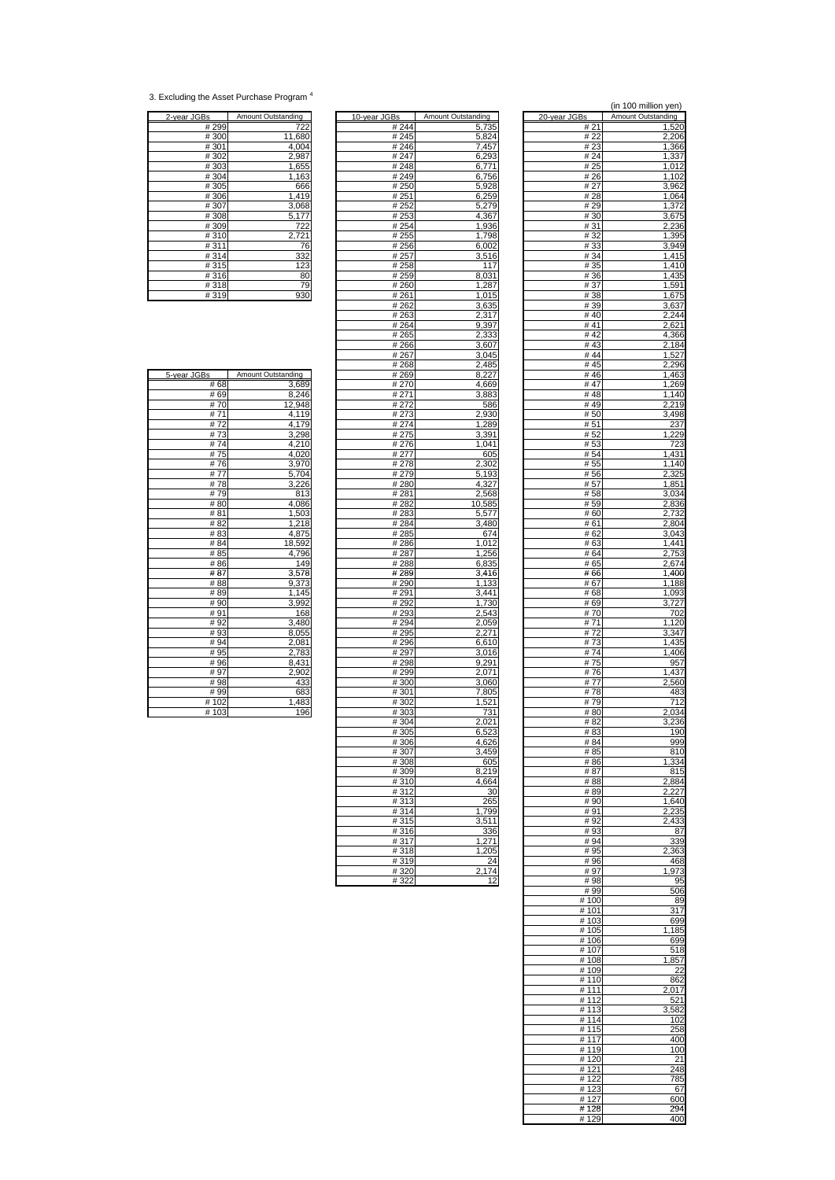<sup>3.</sup> Excluding the Asset Purchase Program 4

| 2-year JGBs | Amount Outstanding  |
|-------------|---------------------|
| #299        | 722                 |
| #300        | 11,680              |
| #301        | 4,004               |
| #302        | 2,987               |
| #303        | 1,655               |
| #304        |                     |
| #305        |                     |
| #306        | $\frac{1,163}{666}$ |
| #307        | 3,068               |
| #308        |                     |
| #309        | $\frac{5,177}{722}$ |
| #310        |                     |
| #311        | 76                  |
| #314        |                     |
| #315        |                     |
| #316        | $\frac{332}{123}$   |
| #318        | $\frac{79}{930}$    |
| #319        |                     |

| <u>2-year JGBs</u> | Amount Outstanding | 10-year JGBs | Amount Outstanding | 20-year JGBs | Amount Outstanding |
|--------------------|--------------------|--------------|--------------------|--------------|--------------------|
| # 299              | 722                | #244         | 5,735              | #21          | 1,520              |
| #300               | 11,680             | #245         | 5,824              | #22          | 2,206              |
| #301               | 4,004              | #246         | 7,457              | #23          | 1,366              |
| #302               | 2,987              | #247         | 6,293              | #24          | 1,337              |
| #303               | 1,655              | #248         | 6,771              | # 25         | 1,012              |
| #304               | 1,163              | #249         | 6,756              | # 26         | 1,102              |
| #305               | 666                | # 250        | 5,928              | # 27         | 3,962              |
| #306               | 1,419              | #251         | 6,259              | # 28         | 1,064              |
| #307               | 3,068              | #252         | 5,279              | #29          | 1,372              |
| #308               | 5,177              | #253         | 4,367              | # 30         | 3,675              |
| #309               | 722                | #254         | 1,936              | #31          | 2,236              |
| #310               | 2,721              | # 255        | 1,798              | #32          | 1,395              |
| #311               | 76                 | #256         | 6,002              | #33          | 3,949              |
| #314               | 332                | #257         | 3,516              | # 34         | 1,415              |
| #315               | 123                | #258         | 117                | # 35         | 1,410              |
| #316               | 80                 | #259         | 8,031              | # 36         | 1,435              |
| #318               | 79                 | #260         | 1,287              | #37          | 1,591              |
| #319               | 930                | #261         | 1,015              | #38          | 1,675              |
|                    |                    | #262         | 3,635              | #39          | 3,637              |
|                    |                    | #263         | 2,317              | #40          | 2,244              |
|                    |                    | #264         | 9,397              | #41          | 2,621              |
|                    |                    | #265         | 2,333              | #42          | 4,366              |
|                    |                    | #266         | 3,607              | #43          | 2,184              |
|                    |                    | #267         | 3,045              | #44          | 1,527              |
|                    |                    | #268         | 2,485              | # $45$       | 2,296              |
| 5-year JGBs        | Amount Outstanding | # 269        | 8,227              | #46          | 1,463              |
| # 68               | 3,689              | #270         | 4.669              | #47          | 1,269              |
| # 69               | 8,246              | # 271        | 3,883              | #48          | 1,140              |
| #70                | 12,948             | #272         | 586                | #49          | 2,219              |
| #71                | 4,119              | #273         | 2,930              | #50          | 3,498              |
| #72                | 4,179              | #274         | 1,289              | #51          | 237                |
| #73                | 3,298              | #275         | 3,391              | #52          | 1,229              |
| #74                | 4,210              | #276         | 1,041              | #53          | 723                |
| #75                | 4,020              | # 277        | 605                | # 54         | 1,431              |
| #76                | 3,970              | #278         | 2,302              | #55          | 1,140              |
| #77                | 5,704              | #279         | 5,193              | #56          | 2,325              |
| #78                | 3,226              | #280         | 4,327              | # 57         | 1,851              |
| #79                | 813                | #281         | 2,568              | #58          | 3,034              |
| #80                | 4.086              | #282         | 10,585             | # 59         | 2,836              |
| #81                | 1,503              | #283         | 5,577              | #60          | 2,732              |
| #82                | 1,218              | #284         | 3,480              | #61          | 2,804              |
| #83                | 4,875              | #285         | 674                | # 62         | 3,043              |
| #84                | 18,592             | #286         | 1,012              | #63          | 1,441              |
| # 85               | 4,796              | #287         | 1,256              | # 64         | 2,753              |
| #86                | 149                | #288         | 6,835              | # 65         | 2,674              |
| #87                | 3,578              | # 289        | 3,416              | #66          | 1,400              |
| #88                | 9,373              | # 290        | 1,133              | #67          | 1,188<br>1,093     |
| #89<br>#90         | 1,145<br>3,992     | # 291        | 3,441<br>1,730     | #68          | $\overline{3,727}$ |
|                    |                    | # 292        |                    | # 69         |                    |
| #91<br>#92         | 168<br>3,480       | #293<br>#294 | 2,543<br>2,059     | #70<br>#71   | 702<br>1,120       |
| #93                | 8,055              | #295         | 2,271              | #72          | 3,347              |
| #94                | 2,081              | #296         | 6,610              | #73          | 1,435              |
| #95                | 2,783              | #297         | 3,016              | #74          | 1,406              |
| #96                | 8,431              | #298         | 9,291              | #75          | 957                |
| #97                | 2,902              | #299         | 2,071              | #76          | 1,437              |
| #98                | 433                | #300         | 3,060              | #77          | 2,560              |
| #99                | 683                | #301         | 7,805              | #78          | 483                |
| #102               | 1,483              | #302         | 1,521              | #79          | 712                |
| #103               | 196                | #303         | 731                | #80          | 2,034              |
|                    |                    | #304         | 2,021              | #82          | 3,236              |
|                    |                    | #305         | 6,523              | #83          | 190                |
|                    |                    | #306         | 4,626              | # 84         | 999                |
|                    |                    | #307         | 3,459              | # 85         | 810                |
|                    |                    | #308         | 605                | #86          | 1,334              |
|                    |                    | #309         | 8,219              | #87          | 815                |
|                    |                    | #310         | 4,664              | #88          | 2,884              |
|                    |                    | #312         | 30                 | #89          | 2,227              |
|                    |                    | #313         | 265                | #90          | 1,640              |
|                    |                    | #314         | 1,799              | #91          | 2,235              |
|                    |                    | #315         | 3,511              | #92          | 2,433              |
|                    |                    | #316         | 336                | #93          | 87                 |
|                    |                    | #317         | 1,271              | #94          | 339                |
|                    |                    | #318         | 1,205              | # 95         | 2,363              |
|                    |                    | #319         | 24                 | #96          | 468                |
|                    |                    | #320         | 2,174              | #97          | 1,973              |
|                    |                    | #322         | 12                 | #98          | 95                 |
|                    |                    |              |                    |              |                    |

|                            |                             |                      | (in 100 million yen)        |
|----------------------------|-----------------------------|----------------------|-----------------------------|
| Зs<br># 244                | Amount Outstanding<br>5,735 | 20-year JGBs<br># 21 | Amount Outstanding<br>1,520 |
| #245                       | 5,824                       | # 22                 | 2,206                       |
| #246                       | 7,457                       | # 23                 | 1,366                       |
| # 247<br>#248              | 6,293<br>6,771              | # 24<br># 25         | 1,337<br>1,012              |
| #249                       | 6,756                       | # 26                 | 1,102                       |
| # 250                      | 5,928                       | # 27                 | 3,962                       |
| # 251<br># 252             | 6,259<br>5,279              | # 28<br># 29         | 1,064<br>1,372              |
| # 253                      | 4,367                       | #30                  | 3,675                       |
| #254                       | 1,936                       | # 31                 | 2,236                       |
| # 255<br>#256              | 1,798<br>6,002              | #32<br># 33          | 1,395<br>3,949              |
| #257                       | 3,516                       | # 34                 | 1,415                       |
| # 258                      | 117                         | # 35                 | 1,410                       |
| # 259<br>#260              | 8,031<br>1,287              | # 36<br>#37          | 1,435<br>1,591              |
| # 261                      | 1,015                       | # 38                 | 1,675                       |
| # 262                      | 3,635                       | # 39                 | 3,637                       |
| # 263<br># 264             | <u>2,317</u><br>9,397       | #40<br>#41           | 2,244<br>2,621              |
| #265                       | 2,333                       | #42                  | 4,366                       |
| #266                       | 3,607                       | #43                  | 2,184                       |
| #267<br>#268               | 3,045<br>2,485              | #44<br>#45           | 1,527<br>2,296              |
| # 269                      | 8,227                       | #46                  | 1,463                       |
| # 270                      | 4,669                       | #47                  | 1,269                       |
| #271<br># 272              | 3,883<br>586                | #48<br>#49           | 1,140<br>2,219              |
| # 273                      | 2,930                       | # 50                 | 3,498                       |
| #274                       | 1,289                       | # 51                 | 237                         |
| # 275<br>#276              | 3,391<br>1,041              | # 52<br>#53          | 1,229<br>723                |
| # 277                      | 605                         | # 54                 | 1,431                       |
| # 278                      | 2,302                       | # 55                 | 1,140                       |
| #279<br>#280               | 5,193<br>4,327              | #56<br># 57          | 2,325<br>1,851              |
| # 281                      | 2,568                       | # 58                 | 3,034                       |
| #282                       | 10,585                      | # 59                 | 2,836                       |
| #283<br>#284               | 5,577<br>3,480              | #60<br># 61          | 2,732<br>2,804              |
| #285                       | 674                         | #62                  | 3,043                       |
| #286                       | 1,012                       | #63                  | 1,441                       |
| # 287<br>#288              | 1,256<br>6,835              | # 64<br># 65         | 2,753<br>2,674              |
| # 289                      | 3,416                       | # 66                 | 1,400                       |
| # 290                      | 1,133                       | # 67                 | 1,188                       |
| # 291<br># 292             | 3,441<br>1,730              | # 68<br># 69         | 1,093<br>3,727              |
| #293                       | 2,543                       | # 70                 | 702                         |
| # 294                      | 2,059                       | # 71                 | 1,120                       |
| # 295<br>$\frac{1}{4}$ 296 | 2,271<br>6,610              | # 72<br>#73          | 3,347<br>1,435              |
| # 297                      | 3,016                       | #74                  | 1,406                       |
| #298                       | 9,291                       | #<br>75              | 957                         |
| #299<br># 300              | 2,071<br>3,060              | 76<br>#<br># 77      | 1,437<br>2,560              |
| #301                       | 7.805                       | #<br>78              | 483                         |
| #302                       | 1,521                       | # 79                 | 712                         |
| #303<br>#304               | 731<br>2,021                | #80<br># 82          | 2,034<br>3,236              |
| #305                       | 6,523                       | #83                  | 190                         |
| #306                       | 4,626                       | #84                  | 999                         |
| #307<br>#308               | 3,459<br>605                | # 85<br>#86          | 810<br>1,334                |
| #309                       | 8,219                       | #87                  | 815                         |
| #310                       | 4,664                       | #88                  | 2,884                       |
| #312<br>#313               | 30<br>265                   | #89<br>#90           | 2,227<br>1,640              |
| #314                       | 1,799                       | #91                  | 2,235                       |
| #315                       | 3,511                       | #92                  | 2,433                       |
| #316<br>#317               | 336<br>1,271                | #93<br>#94           | 87<br>339                   |
| #318                       | 1,205                       | #95                  | 2,363                       |
| #319                       | 24<br>2.174                 | #96                  | 468                         |
| #320<br>#322               | 12                          | #97<br>#98           | 1,973<br>95                 |
|                            |                             | # 99                 | 506                         |
|                            |                             | # 100<br># 101       | 89<br>317                   |
|                            |                             | # 103                | 699                         |
|                            |                             | #105                 | 1,185                       |
|                            |                             | #106<br>#107         | 699<br>518                  |
|                            |                             | #108                 | 1,857                       |
|                            |                             | # 109                | 22                          |
|                            |                             | #110<br># 111        | 862<br>2,017                |
|                            |                             | #112                 | 521                         |
|                            |                             | #113                 | 3,582                       |
|                            |                             | #114<br>#115         | 102<br>258                  |
|                            |                             | #117                 | 400                         |
|                            |                             | #119                 | 100                         |
|                            |                             | #120<br># 121        | 21<br>248                   |
|                            |                             | # 122                | 785                         |
|                            |                             | #123                 | 67                          |
|                            |                             | #127<br>#128         | 600<br>294                  |
|                            |                             | #129                 | 400                         |

| $#$ 00     | <u>ა,ხია</u>                                                |
|------------|-------------------------------------------------------------|
| # 69       | 8,246                                                       |
| #70        | 12,948                                                      |
| # 71       | 4,119                                                       |
| #72        |                                                             |
| #73        |                                                             |
| #74        |                                                             |
| #75<br>#76 | 4,179<br>3,298<br>4,210<br>4,020<br>3,970<br>5,704<br>3,226 |
|            |                                                             |
| # 77       |                                                             |
| #78        |                                                             |
| #79        | 813                                                         |
| #80        | 4,086                                                       |
| # 81       |                                                             |
| # 82       |                                                             |
| #83        | $\frac{1,503}{1,218}$<br>$\frac{1,218}{4,875}$              |
| # 84       |                                                             |
| # 85       |                                                             |
| #86        | $\frac{1,315}{18,592}$ $\frac{4,796}{149}$                  |
| # 87       | $\frac{3,578}{9,373}$                                       |
| # 88       |                                                             |
| # 89       | 1,145                                                       |
| # 90       | 3,992<br>168                                                |
| #91        |                                                             |
| # 92       | 3,480                                                       |
| #93        |                                                             |
| #94        |                                                             |
| #95        | $\frac{8,055}{2,081}$ $\frac{2,783}{8,431}$                 |
| #96        |                                                             |
| #97        | 2,902                                                       |
| #98        | 433                                                         |
| #99        | 683                                                         |
| 102<br>#   | 1,483                                                       |
| #103       | 196                                                         |